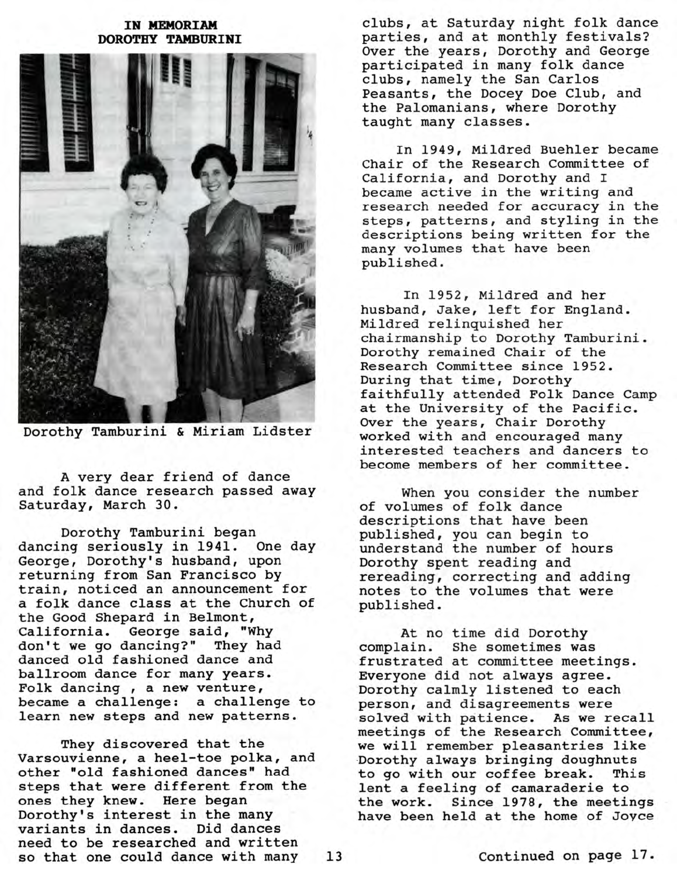## IN MEMORIAM **DOROTHY TAMBURINI**



Dorothy Tamburini & Miriam Lidster

A very dear friend of dance and folk dance research passed away Saturday, March 30.

Dorothy Tamburini began dancing seriously in 1941. One day George, Dorothy's husband, upon returning from San Francisco by train, noticed an announcement for a folk dance class at the Church of the Good Shepard in Belmont, California. George said, "Why don't we go dancing?" They had danced old fashioned dance and ballroom dance for many years. Folk dancing , a new venture, became a challenge: a challenge to learn new steps and new patterns.

They discovered that the Varsouvienne, a heel-toe polka, and other "old fashioned dances" had steps that were different from the ones they knew. Here began Dorothy's interest in the many variants in dances. Did dances need to be researched and written so that one could dance with many 13

clubs, at Saturday night folk dance parties, and at monthly festivals? Over the years, Dorothy and George participated in many folk dance clubs, namely the San Carlos Peasants, the Docey Doe Club, and the Palomanians, where Dorothy taught many classes.

In 1949, Mildred Buehler became Chair of the Research Committee of California, and Dorothy and I became active in the writing and research needed for accuracy in the steps, patterns, and styling in the descriptions being written for the many volumes that have been published.

In 1952, Mildred and her husband, Jake, left for England. Mildred relinquished her chairmanship to Dorothy Tamburini. Dorothy remained Chair of the Research Committee since 1952. During that time, Dorothy faithfully attended Folk Dance Camp at the University of the Pacific. Over the years, Chair Dorothy worked with and encouraged many interested teachers and dancers to become members of her committee.

When you consider the number of volumes of folk dance descriptions that have been published, you can begin to understand the number of hours Dorothy spent reading and rereading, correcting and adding notes to the volumes that were published.

At no time did Dorothy complain. She sometimes was frustrated at committee meetings. Everyone did not always agree. Dorothy calmly listened to each person, and disagreements were solved with patience. As we recall meetings of the Research Committee, we will remember pleasantries like Dorothy always bringing doughnuts to go with our coffee break. This lent a feeling of camaraderie to the work. Since 1978, the meetings have been held at the home of Joyce

Continued on page 17